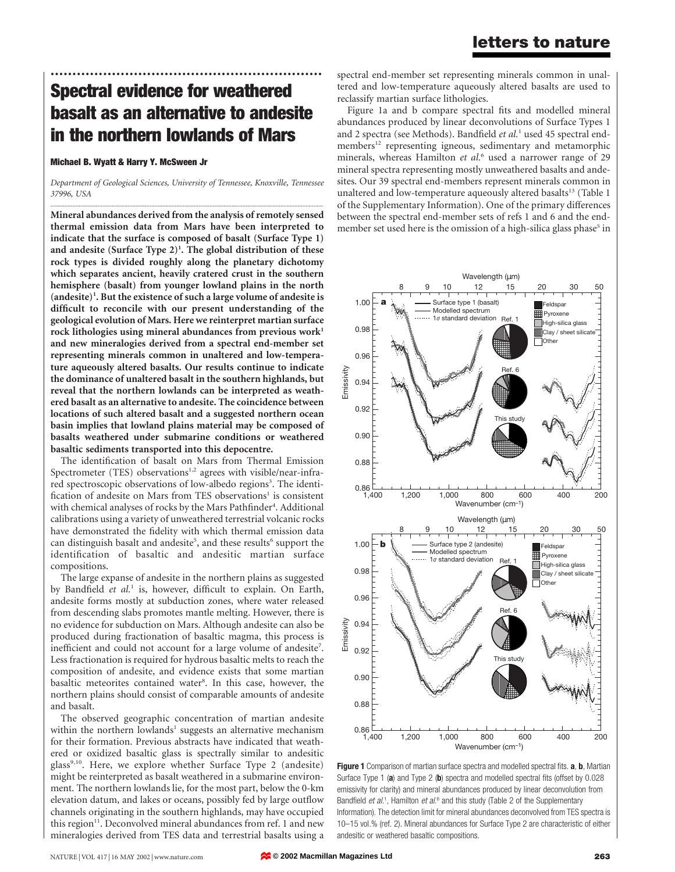# Spectral evidence for weathered basalt as an alternative to andesite in the northern lowlands of Mars

..............................................................

#### Michael B. Wyatt & Harry Y. McSween Jr

Department of Geological Sciences, University of Tennessee, Knoxville, Tennessee 37996, USA

............................................................................................................................................................................. Mineral abundances derived from the analysis of remotely sensed thermal emission data from Mars have been interpreted to indicate that the surface is composed of basalt (Surface Type 1) and andesite  $(Surface Type 2)^1$ . The global distribution of these rock types is divided roughly along the planetary dichotomy which separates ancient, heavily cratered crust in the southern hemisphere (basalt) from younger lowland plains in the north (andesite)<sup>1</sup>. But the existence of such a large volume of andesite is difficult to reconcile with our present understanding of the geological evolution of Mars. Here we reinterpret martian surface rock lithologies using mineral abundances from previous work<sup>1</sup> and new mineralogies derived from a spectral end-member set representing minerals common in unaltered and low-temperature aqueously altered basalts. Our results continue to indicate the dominance of unaltered basalt in the southern highlands, but reveal that the northern lowlands can be interpreted as weathered basalt as an alternative to andesite. The coincidence between locations of such altered basalt and a suggested northern ocean basin implies that lowland plains material may be composed of basalts weathered under submarine conditions or weathered basaltic sediments transported into this depocentre.

The identification of basalt on Mars from Thermal Emission Spectrometer (TES) observations<sup>1,2</sup> agrees with visible/near-infrared spectroscopic observations of low-albedo regions<sup>3</sup>. The identification of andesite on Mars from TES observations<sup>1</sup> is consistent with chemical analyses of rocks by the Mars Pathfinder<sup>4</sup>. Additional calibrations using a variety of unweathered terrestrial volcanic rocks have demonstrated the fidelity with which thermal emission data can distinguish basalt and andesite<sup>5</sup>, and these results<sup>6</sup> support the identification of basaltic and andesitic martian surface compositions.

The large expanse of andesite in the northern plains as suggested by Bandfield et  $al<sup>1</sup>$  is, however, difficult to explain. On Earth, andesite forms mostly at subduction zones, where water released from descending slabs promotes mantle melting. However, there is no evidence for subduction on Mars. Although andesite can also be produced during fractionation of basaltic magma, this process is inefficient and could not account for a large volume of andesite<sup>7</sup>. Less fractionation is required for hydrous basaltic melts to reach the composition of andesite, and evidence exists that some martian basaltic meteorites contained water<sup>8</sup>. In this case, however, the northern plains should consist of comparable amounts of andesite and basalt.

The observed geographic concentration of martian andesite within the northern lowlands<sup>1</sup> suggests an alternative mechanism for their formation. Previous abstracts have indicated that weathered or oxidized basaltic glass is spectrally similar to andesitic glass<sup>9,10</sup>. Here, we explore whether Surface Type 2 (andesite) might be reinterpreted as basalt weathered in a submarine environment. The northern lowlands lie, for the most part, below the 0-km elevation datum, and lakes or oceans, possibly fed by large outflow channels originating in the southern highlands, may have occupied this region<sup>11</sup>. Deconvolved mineral abundances from ref. 1 and new mineralogies derived from TES data and terrestrial basalts using a spectral end-member set representing minerals common in unaltered and low-temperature aqueously altered basalts are used to reclassify martian surface lithologies.

Figure 1a and b compare spectral fits and modelled mineral abundances produced by linear deconvolutions of Surface Types 1 and 2 spectra (see Methods). Bandfield et al.<sup>1</sup> used 45 spectral endmembers<sup>12</sup> representing igneous, sedimentary and metamorphic minerals, whereas Hamilton et al.<sup>6</sup> used a narrower range of 29 mineral spectra representing mostly unweathered basalts and andesites. Our 39 spectral end-members represent minerals common in unaltered and low-temperature aqueously altered basalts<sup>13</sup> (Table 1 of the Supplementary Information). One of the primary differences between the spectral end-member sets of refs 1 and 6 and the endmember set used here is the omission of a high-silica glass phase<sup>5</sup> in



Figure 1 Comparison of martian surface spectra and modelled spectral fits. a, b, Martian Surface Type 1 (a) and Type 2 (b) spectra and modelled spectral fits (offset by 0.028 emissivity for clarity) and mineral abundances produced by linear deconvolution from Bandfield et al.<sup>1</sup>, Hamilton et al.<sup>6</sup> and this study (Table 2 of the Supplementary Information). The detection limit for mineral abundances deconvolved from TES spectra is 10–15 vol.% (ref. 2). Mineral abundances for Surface Type 2 are characteristic of either andesitic or weathered basaltic compositions.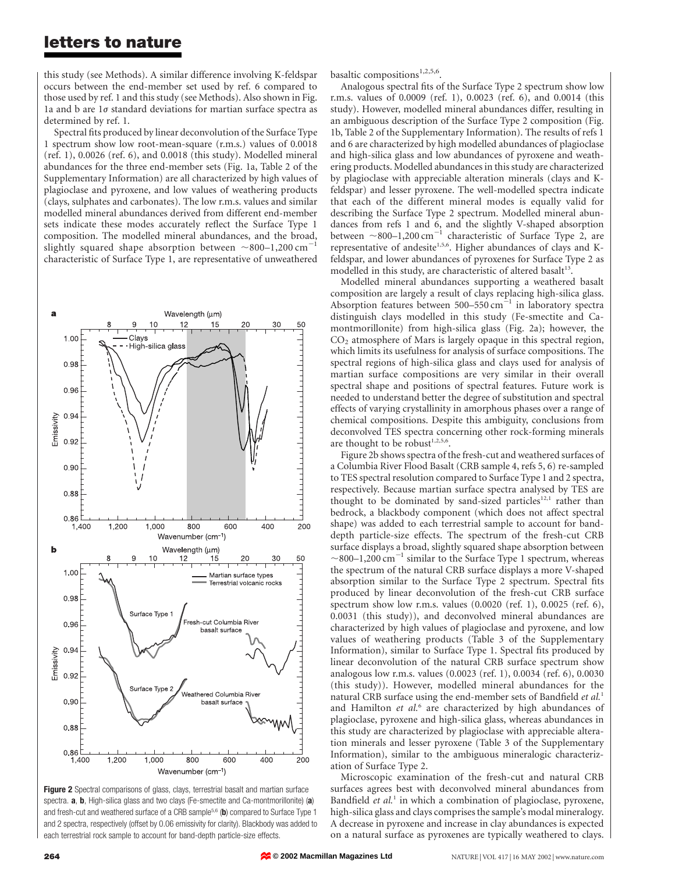### letters to nature

this study (see Methods). A similar difference involving K-feldspar occurs between the end-member set used by ref. 6 compared to those used by ref. 1 and this study (see Methods). Also shown in Fig. 1a and b are  $1\sigma$  standard deviations for martian surface spectra as determined by ref. 1.

Spectral fits produced by linear deconvolution of the Surface Type 1 spectrum show low root-mean-square (r.m.s.) values of 0.0018 (ref. 1), 0.0026 (ref. 6), and 0.0018 (this study). Modelled mineral abundances for the three end-member sets (Fig. 1a, Table 2 of the Supplementary Information) are all characterized by high values of plagioclase and pyroxene, and low values of weathering products (clays, sulphates and carbonates). The low r.m.s. values and similar modelled mineral abundances derived from different end-member sets indicate these modes accurately reflect the Surface Type 1 composition. The modelled mineral abundances, and the broad, slightly squared shape absorption between  $\sim$ 800–1,200 cm<sup>-1</sup> characteristic of Surface Type 1, are representative of unweathered



Figure 2 Spectral comparisons of glass, clays, terrestrial basalt and martian surface spectra. **a**, **b**, High-silica glass and two clays (Fe-smectite and Ca-montmorillonite) (a) and fresh-cut and weathered surface of a CRB sample<sup>5,6</sup> (b) compared to Surface Type 1 and 2 spectra, respectively (offset by 0.06 emissivity for clarity). Blackbody was added to each terrestrial rock sample to account for band-depth particle-size effects.

basaltic compositions<sup>1,2,5,6</sup>.

Analogous spectral fits of the Surface Type 2 spectrum show low r.m.s. values of 0.0009 (ref. 1), 0.0023 (ref. 6), and 0.0014 (this study). However, modelled mineral abundances differ, resulting in an ambiguous description of the Surface Type 2 composition (Fig. 1b, Table 2 of the Supplementary Information). The results of refs 1 and 6 are characterized by high modelled abundances of plagioclase and high-silica glass and low abundances of pyroxene and weathering products. Modelled abundances in this study are characterized by plagioclase with appreciable alteration minerals (clays and Kfeldspar) and lesser pyroxene. The well-modelled spectra indicate that each of the different mineral modes is equally valid for describing the Surface Type 2 spectrum. Modelled mineral abundances from refs 1 and 6, and the slightly V-shaped absorption between  $\sim$ 800–1,200 cm<sup>-1</sup> characteristic of Surface Type 2, are representative of andesite<sup>1,5,6</sup>. Higher abundances of clays and Kfeldspar, and lower abundances of pyroxenes for Surface Type 2 as modelled in this study, are characteristic of altered basalt<sup>13</sup>.

Modelled mineral abundances supporting a weathered basalt composition are largely a result of clays replacing high-silica glass. Absorption features between  $500-550$  cm<sup>-1</sup> in laboratory spectra distinguish clays modelled in this study (Fe-smectite and Camontmorillonite) from high-silica glass (Fig. 2a); however, the  $CO<sub>2</sub>$  atmosphere of Mars is largely opaque in this spectral region, which limits its usefulness for analysis of surface compositions. The spectral regions of high-silica glass and clays used for analysis of martian surface compositions are very similar in their overall spectral shape and positions of spectral features. Future work is needed to understand better the degree of substitution and spectral effects of varying crystallinity in amorphous phases over a range of chemical compositions. Despite this ambiguity, conclusions from deconvolved TES spectra concerning other rock-forming minerals are thought to be robust<sup>1,2,5,6</sup>.

Figure 2b shows spectra of the fresh-cut and weathered surfaces of a Columbia River Flood Basalt (CRB sample 4, refs 5, 6) re-sampled to TES spectral resolution compared to Surface Type 1 and 2 spectra, respectively. Because martian surface spectra analysed by TES are thought to be dominated by sand-sized particles<sup>12,1</sup> rather than bedrock, a blackbody component (which does not affect spectral shape) was added to each terrestrial sample to account for banddepth particle-size effects. The spectrum of the fresh-cut CRB surface displays a broad, slightly squared shape absorption between  $\sim$ 800–1,200 cm<sup>-1</sup> similar to the Surface Type 1 spectrum, whereas the spectrum of the natural CRB surface displays a more V-shaped absorption similar to the Surface Type 2 spectrum. Spectral fits produced by linear deconvolution of the fresh-cut CRB surface spectrum show low r.m.s. values (0.0020 (ref. 1), 0.0025 (ref. 6), 0.0031 (this study)), and deconvolved mineral abundances are characterized by high values of plagioclase and pyroxene, and low values of weathering products (Table 3 of the Supplementary Information), similar to Surface Type 1. Spectral fits produced by linear deconvolution of the natural CRB surface spectrum show analogous low r.m.s. values (0.0023 (ref. 1), 0.0034 (ref. 6), 0.0030 (this study)). However, modelled mineral abundances for the natural CRB surface using the end-member sets of Bandfield et al.<sup>1</sup> and Hamilton  $et$   $al$ <sup>6</sup> are characterized by high abundances of plagioclase, pyroxene and high-silica glass, whereas abundances in this study are characterized by plagioclase with appreciable alteration minerals and lesser pyroxene (Table 3 of the Supplementary Information), similar to the ambiguous mineralogic characterization of Surface Type 2.

Microscopic examination of the fresh-cut and natural CRB surfaces agrees best with deconvolved mineral abundances from Bandfield et al.<sup>1</sup> in which a combination of plagioclase, pyroxene, high-silica glass and clays comprises the sample's modal mineralogy. A decrease in pyroxene and increase in clay abundances is expected on a natural surface as pyroxenes are typically weathered to clays.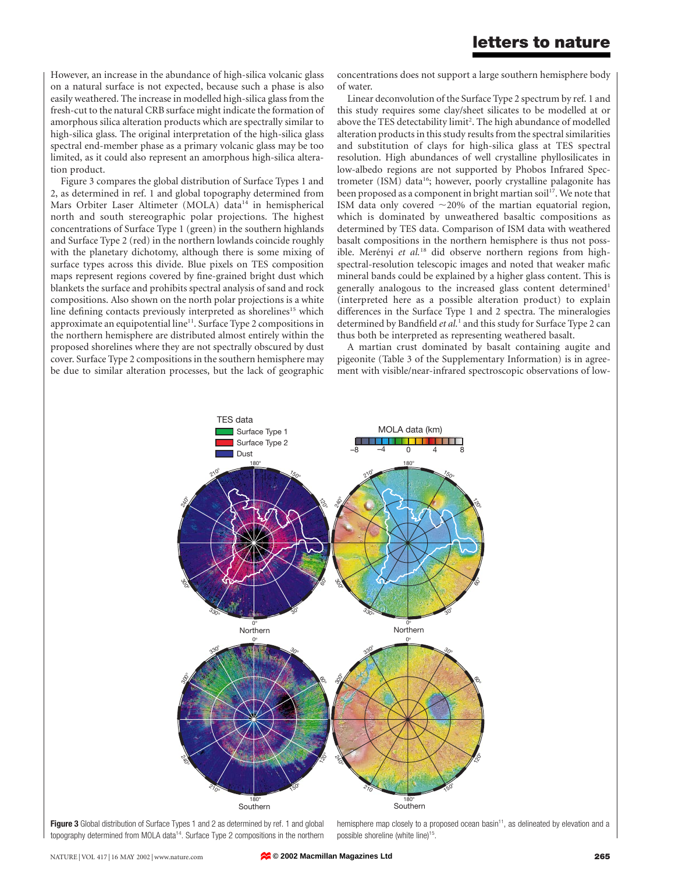However, an increase in the abundance of high-silica volcanic glass on a natural surface is not expected, because such a phase is also easily weathered. The increase in modelled high-silica glass from the fresh-cut to the natural CRB surface might indicate the formation of amorphous silica alteration products which are spectrally similar to high-silica glass. The original interpretation of the high-silica glass spectral end-member phase as a primary volcanic glass may be too limited, as it could also represent an amorphous high-silica alteration product.

Figure 3 compares the global distribution of Surface Types 1 and 2, as determined in ref. 1 and global topography determined from Mars Orbiter Laser Altimeter (MOLA) data<sup>14</sup> in hemispherical north and south stereographic polar projections. The highest concentrations of Surface Type 1 (green) in the southern highlands and Surface Type 2 (red) in the northern lowlands coincide roughly with the planetary dichotomy, although there is some mixing of surface types across this divide. Blue pixels on TES composition maps represent regions covered by fine-grained bright dust which blankets the surface and prohibits spectral analysis of sand and rock compositions. Also shown on the north polar projections is a white line defining contacts previously interpreted as shorelines<sup>15</sup> which approximate an equipotential line<sup>11</sup>. Surface Type 2 compositions in the northern hemisphere are distributed almost entirely within the proposed shorelines where they are not spectrally obscured by dust cover. Surface Type 2 compositions in the southern hemisphere may be due to similar alteration processes, but the lack of geographic

concentrations does not support a large southern hemisphere body of water.

Linear deconvolution of the Surface Type 2 spectrum by ref. 1 and this study requires some clay/sheet silicates to be modelled at or above the TES detectability limit<sup>2</sup>. The high abundance of modelled alteration products in this study results from the spectral similarities and substitution of clays for high-silica glass at TES spectral resolution. High abundances of well crystalline phyllosilicates in low-albedo regions are not supported by Phobos Infrared Spectrometer (ISM) data<sup>16</sup>; however, poorly crystalline palagonite has been proposed as a component in bright martian soil<sup>17</sup>. We note that ISM data only covered  $\sim$ 20% of the martian equatorial region, which is dominated by unweathered basaltic compositions as determined by TES data. Comparison of ISM data with weathered basalt compositions in the northern hemisphere is thus not possible. Merényi et al.<sup>18</sup> did observe northern regions from highspectral-resolution telescopic images and noted that weaker mafic mineral bands could be explained by a higher glass content. This is generally analogous to the increased glass content determined<sup>1</sup> (interpreted here as a possible alteration product) to explain differences in the Surface Type 1 and 2 spectra. The mineralogies determined by Bandfield et al.<sup>1</sup> and this study for Surface Type 2 can thus both be interpreted as representing weathered basalt.

A martian crust dominated by basalt containing augite and pigeonite (Table 3 of the Supplementary Information) is in agreement with visible/near-infrared spectroscopic observations of low-



Figure 3 Global distribution of Surface Types 1 and 2 as determined by ref. 1 and global topography determined from MOLA data<sup>14</sup>. Surface Type 2 compositions in the northern

hemisphere map closely to a proposed ocean basin<sup>11</sup>, as delineated by elevation and a possible shoreline (white line)<sup>15</sup>.